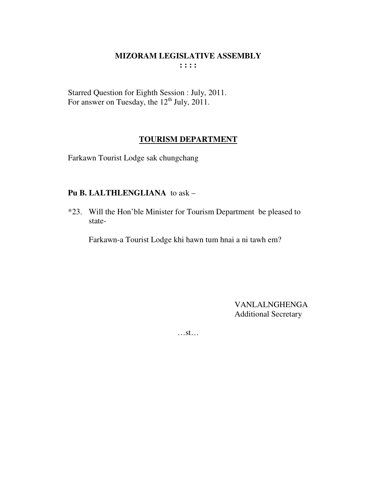Starred Question for Eighth Session : July, 2011.<br>For answer on Tuesday, the 12<sup>th</sup> July, 2011.

# **TOURISM DEPARTMENT**

Farkawn Tourist Lodge sak chungchang

# Pu B. LALTHLENGLIANA to ask -

\*23. Will the Hon'ble Minister for Tourism Department be pleased to state-

Farkawn-a Tourist Lodge khi hawn tum hnai a ni tawh em?

**VANLALNGHENGA Additional Secretary** 

 $...st...$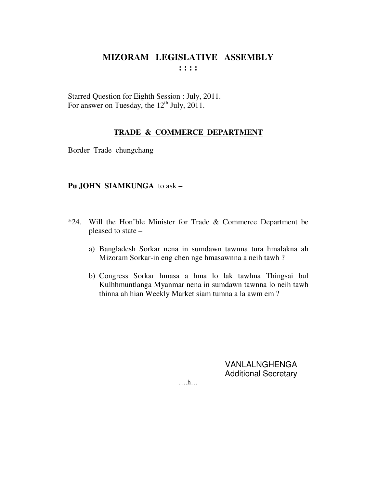Starred Question for Eighth Session : July, 2011. For answer on Tuesday, the  $12<sup>th</sup>$  July, 2011.

#### **TRADE & COMMERCE DEPARTMENT**

Border Trade chungchang

#### **Pu JOHN SIAMKUNGA** to ask –

- \*24. Will the Hon'ble Minister for Trade & Commerce Department be pleased to state –
	- a) Bangladesh Sorkar nena in sumdawn tawnna tura hmalakna ah Mizoram Sorkar-in eng chen nge hmasawnna a neih tawh ?
	- b) Congress Sorkar hmasa a hma lo lak tawhna Thingsai bul Kulhhmuntlanga Myanmar nena in sumdawn tawnna lo neih tawh thinna ah hian Weekly Market siam tumna a la awm em ?

VANLALNGHENGA Additional Secretary

….h…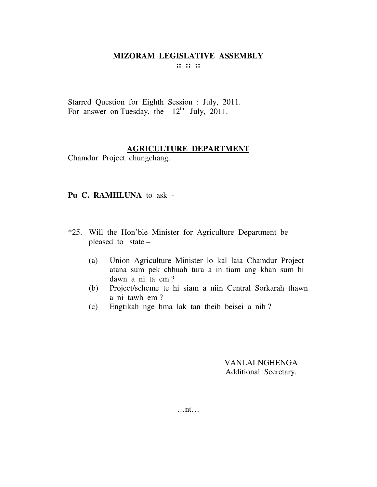Starred Question for Eighth Session : July, 2011. For answer on Tuesday, the  $12<sup>th</sup>$  July, 2011.

#### **AGRICULTURE DEPARTMENT**

Chamdur Project chungchang.

#### **Pu C. RAMHLUNA** to ask -

- \*25. Will the Hon'ble Minister for Agriculture Department be pleased to state –
	- (a) Union Agriculture Minister lo kal laia Chamdur Project atana sum pek chhuah tura a in tiam ang khan sum hi dawn a ni ta em ?
	- (b) Project/scheme te hi siam a niin Central Sorkarah thawn a ni tawh em ?
	- (c) Engtikah nge hma lak tan theih beisei a nih ?

VANLALNGHENGA Additional Secretary.

…nt…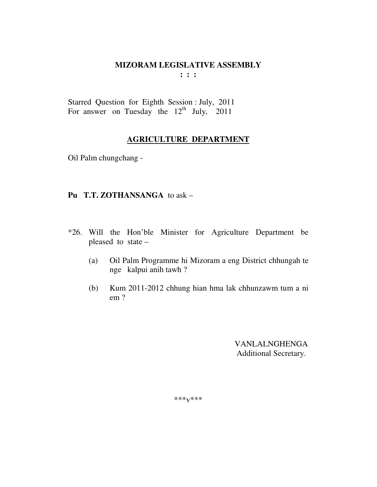**: : :** 

Starred Question for Eighth Session : July, 2011 For answer on Tuesday the  $12<sup>th</sup>$  July, 2011

# **AGRICULTURE DEPARTMENT**

Oil Palm chungchang -

# **Pu T.T. ZOTHANSANGA** to ask –

- \*26. Will the Hon'ble Minister for Agriculture Department be pleased to state –
	- (a) Oil Palm Programme hi Mizoram a eng District chhungah te nge kalpui anih tawh ?
	- (b) Kum 2011-2012 chhung hian hma lak chhunzawm tum a ni em ?

 VANLALNGHENGA Additional Secretary.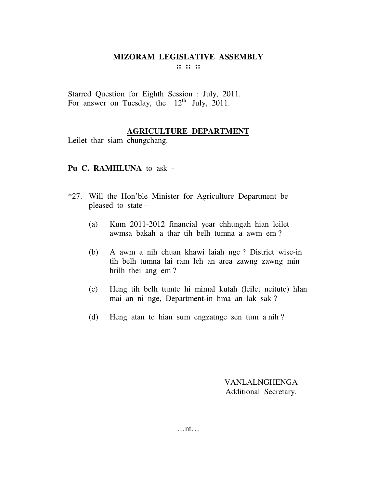Starred Question for Eighth Session : July, 2011. For answer on Tuesday, the  $12<sup>th</sup>$  July, 2011.

## **AGRICULTURE DEPARTMENT**

Leilet thar siam chungchang.

#### **Pu C. RAMHLUNA** to ask -

- \*27. Will the Hon'ble Minister for Agriculture Department be pleased to state –
	- (a) Kum 2011-2012 financial year chhungah hian leilet awmsa bakah a thar tih belh tumna a awm em ?
	- (b) A awm a nih chuan khawi laiah nge ? District wise-in tih belh tumna lai ram leh an area zawng zawng min hrilh thei ang em ?
	- (c) Heng tih belh tumte hi mimal kutah (leilet neitute) hlan mai an ni nge, Department-in hma an lak sak ?
	- (d) Heng atan te hian sum engzatnge sen tum a nih ?

VANLALNGHENGA Additional Secretary.

…nt…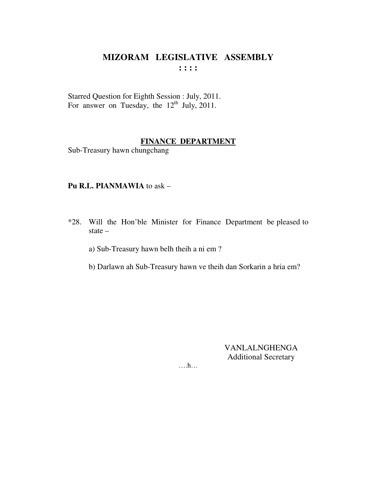Starred Question for Eighth Session : July, 2011. For answer on Tuesday, the  $12^{th}$  July, 2011.

# **FINANCE DEPARTMENT**

Sub-Treasury hawn chungchang

#### Pu R.L. PIANMAWIA to ask -

\*28. Will the Hon'ble Minister for Finance Department be pleased to state  $-$ 

a) Sub-Treasury hawn belh theih a ni em?

b) Darlawn ah Sub-Treasury hawn ve theih dan Sorkarin a hria em?

VANLALNGHENGA **Additional Secretary** 

 $\dots$ ...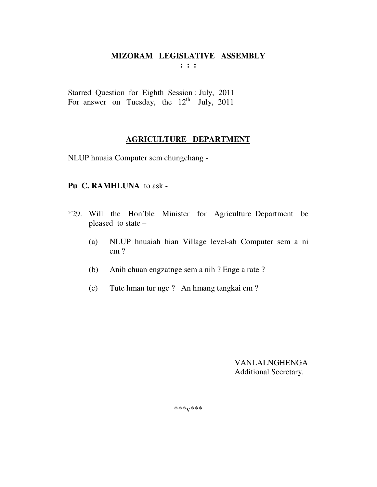**: : :** 

Starred Question for Eighth Session : July, 2011 For answer on Tuesday, the  $12<sup>th</sup>$  July, 2011

# **AGRICULTURE DEPARTMENT**

NLUP hnuaia Computer sem chungchang -

#### **Pu C. RAMHLUNA** to ask -

- \*29. Will the Hon'ble Minister for Agriculture Department be pleased to state –
	- (a) NLUP hnuaiah hian Village level-ah Computer sem a ni em ?
	- (b) Anih chuan engzatnge sem a nih ? Enge a rate ?
	- (c) Tute hman tur nge ? An hmang tangkai em ?

 VANLALNGHENGA Additional Secretary.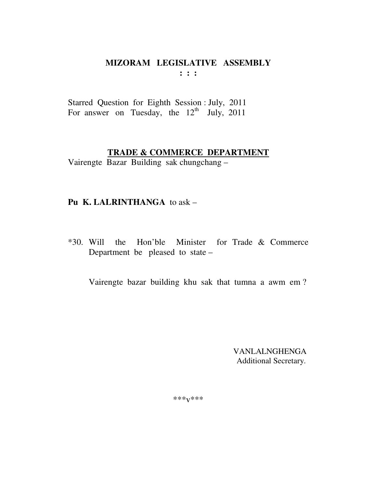$: : :$ 

Starred Question for Eighth Session : July, 2011 For answer on Tuesday, the  $12<sup>th</sup>$  July, 2011

## TRADE & COMMERCE DEPARTMENT

Vairengte Bazar Building sak chungchang -

# Pu K. LALRINTHANGA to ask -

\*30. Will the Hon'ble Minister for Trade & Commerce Department be pleased to state  $-$ 

Vairengte bazar building khu sak that tumna a awm em?

VANLALNGHENGA Additional Secretary.

 $***V***$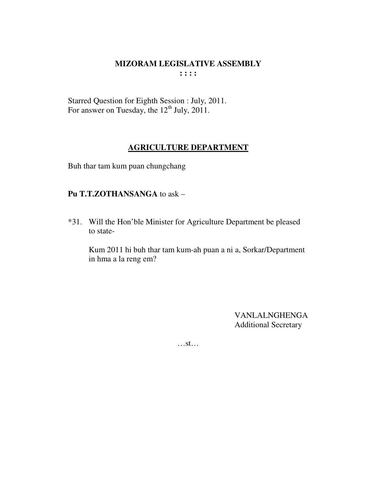Starred Question for Eighth Session : July, 2011. For answer on Tuesday, the  $12^{\text{th}}$  July, 2011.

# **AGRICULTURE DEPARTMENT**

Buh thar tam kum puan chungchang

# Pu T.T.ZOTHANSANGA to ask -

\*31. Will the Hon'ble Minister for Agriculture Department be pleased to state-

Kum 2011 hi buh thar tam kum-ah puan a ni a, Sorkar/Department in hma a la reng em?

> **VANLALNGHENGA Additional Secretary**

 $\dots$ st $\dots$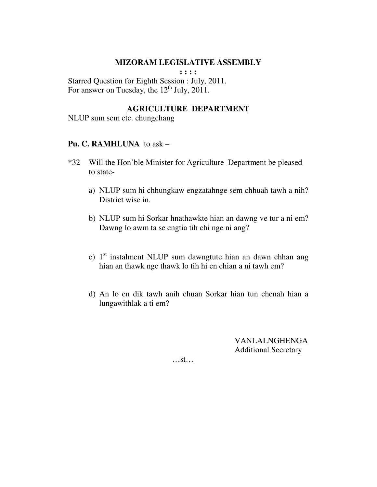**: : : :** 

Starred Question for Eighth Session : July, 2011. For answer on Tuesday, the  $12^{th}$  July,  $2011$ .

## **AGRICULTURE DEPARTMENT**

NLUP sum sem etc. chungchang

#### **Pu. C. RAMHLUNA** to ask –

- \*32 Will the Hon'ble Minister for Agriculture Department be pleased to state
	- a) NLUP sum hi chhungkaw engzatahnge sem chhuah tawh a nih? District wise in.
	- b) NLUP sum hi Sorkar hnathawkte hian an dawng ve tur a ni em? Dawng lo awm ta se engtia tih chi nge ni ang?
	- c)  $1<sup>st</sup>$  instalment NLUP sum dawngtute hian an dawn chhan ang hian an thawk nge thawk lo tih hi en chian a ni tawh em?
	- d) An lo en dik tawh anih chuan Sorkar hian tun chenah hian a lungawithlak a ti em?

VANLALNGHENGA Additional Secretary

…st…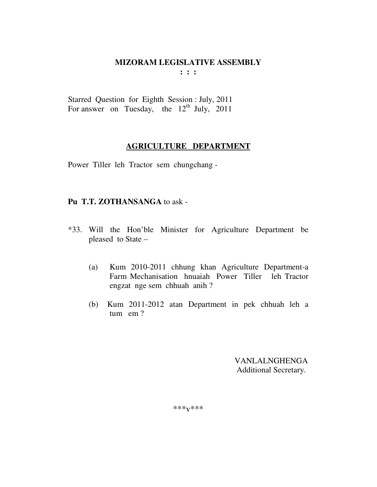**: : :** 

Starred Question for Eighth Session : July, 2011 For answer on Tuesday, the  $12<sup>th</sup>$  July, 2011

# **AGRICULTURE DEPARTMENT**

Power Tiller leh Tractor sem chungchang -

# **Pu T.T. ZOTHANSANGA** to ask -

- \*33. Will the Hon'ble Minister for Agriculture Department be pleased to State –
	- (a) Kum 2010-2011 chhung khan Agriculture Department-a Farm Mechanisation hnuaiah Power Tiller leh Tractor engzat nge sem chhuah anih ?
	- (b) Kum 2011-2012 atan Department in pek chhuah leh a tum em ?

 VANLALNGHENGA Additional Secretary.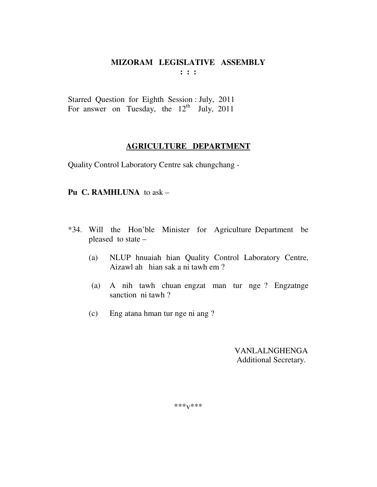Starred Question for Eighth Session : July, 2011 For answer on Tuesday, the  $12<sup>th</sup>$  July, 2011

## **AGRICULTURE DEPARTMENT**

Quality Control Laboratory Centre sak chungchang -

## **Pu C. RAMHLUNA** to ask –

- \*34. Will the Hon'ble Minister for Agriculture Department be pleased to state –
	- (a) NLUP hnuaiah hian Quality Control Laboratory Centre, Aizawl ah hian sak a ni tawh em ?
	- (a) A nih tawh chuan engzat man tur nge ? Engzatnge sanction ni tawh ?
	- (c) Eng atana hman tur nge ni ang ?

 VANLALNGHENGA Additional Secretary.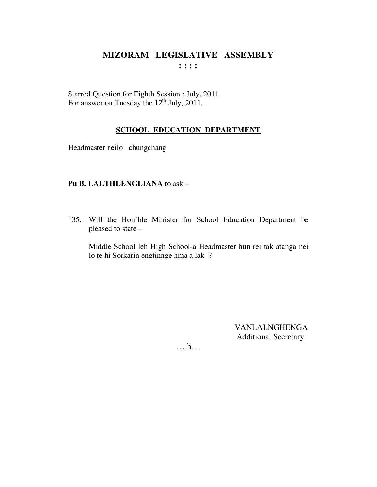Starred Question for Eighth Session : July, 2011. For answer on Tuesday the  $12^{th}$  July, 2011.

# **SCHOOL EDUCATION DEPARTMENT**

Headmaster neilo chungchang

# Pu B. LALTHLENGLIANA to ask -

\*35. Will the Hon'ble Minister for School Education Department be pleased to state -

Middle School leh High School-a Headmaster hun rei tak atanga nei lo te hi Sorkarin engtinnge hma a lak ?

> **VANLALNGHENGA** Additional Secretary.

 $\dots h\dots$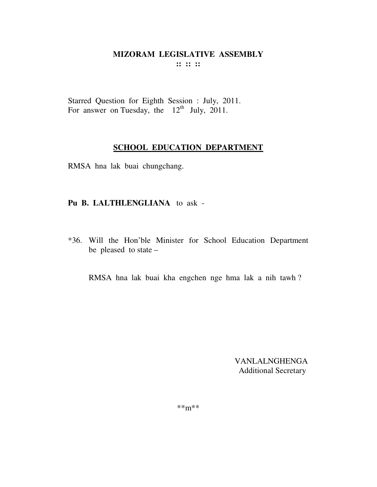Starred Question for Eighth Session : July, 2011. For answer on Tuesday, the  $12^{th}$  July, 2011.

## **SCHOOL EDUCATION DEPARTMENT**

RMSA hna lak buai chungchang.

# **Pu B. LALTHLENGLIANA** to ask -

\*36. Will the Hon'ble Minister for School Education Department be pleased to state –

RMSA hna lak buai kha engchen nge hma lak a nih tawh ?

 VANLALNGHENGA Additional Secretary

\*\*m\*\*